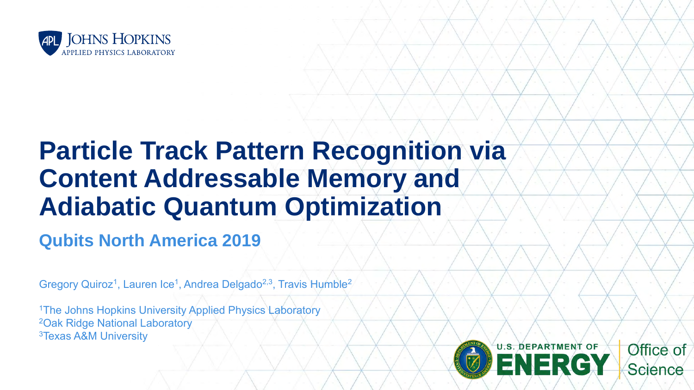

### **Particle Track Pattern Recognition via Content Addressable Memory and Adiabatic Quantum Optimization**

### **Qubits North America 2019**

Gregory Quiroz<sup>1</sup>, Lauren Ice<sup>1</sup>, Andrea Delgado<sup>2,3</sup>, Travis Humble<sup>2</sup>

<sup>1</sup>The Johns Hopkins University Applied Physics Laboratory <sup>2</sup>Oak Ridge National Laboratory 3Texas A&M University

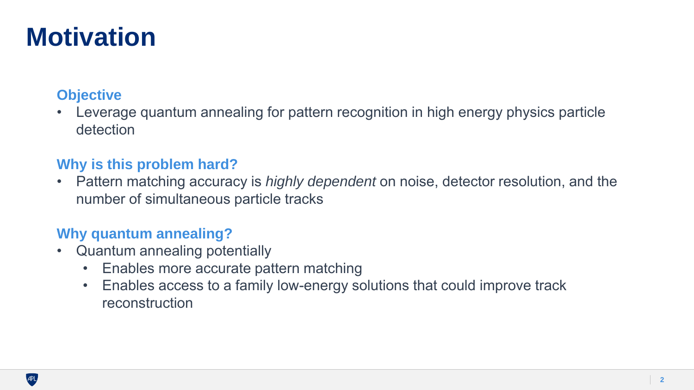## **Motivation**

#### **Objective**

• Leverage quantum annealing for pattern recognition in high energy physics particle detection

### **Why is this problem hard?**

• Pattern matching accuracy is *highly dependent* on noise, detector resolution, and the number of simultaneous particle tracks

### **Why quantum annealing?**

- Quantum annealing potentially
	- Enables more accurate pattern matching
	- Enables access to a family low-energy solutions that could improve track reconstruction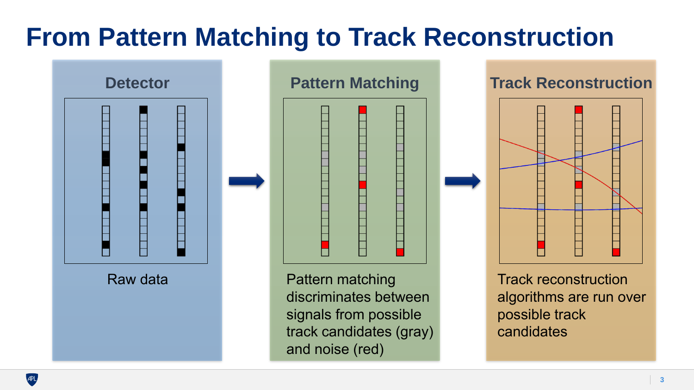## **From Pattern Matching to Track Reconstruction**





discriminates between signals from possible track candidates (gray) and noise (red)



Track reconstruction algorithms are run over possible track candidates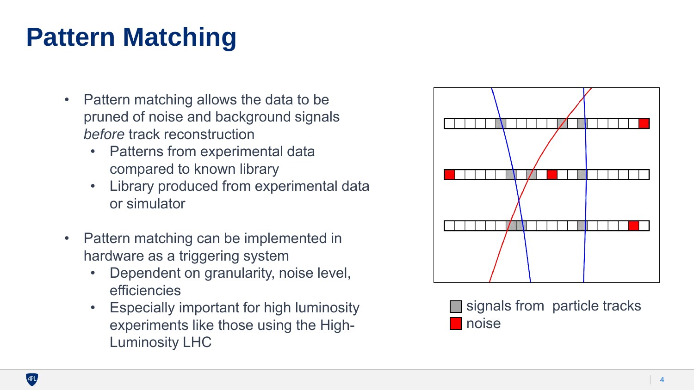# **Pattern Matching**

- Pattern matching allows the data to be pruned of noise and background signals *before* track reconstruction
	- Patterns from experimental data compared to known library
	- Library produced from experimental data or simulator
- Pattern matching can be implemented in hardware as a triggering system
	- Dependent on granularity, noise level, efficiencies
	- Especially important for high luminosity experiments like those using the High-Luminosity LHC



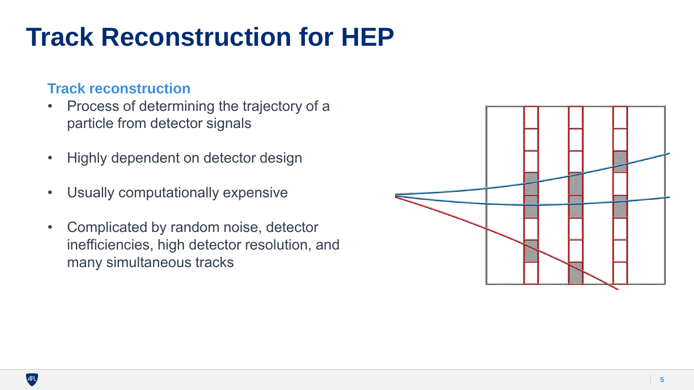# **Track Reconstruction for HEP**

#### **Track reconstruction**

- Process of determining the trajectory of a particle from detector signals
- Highly dependent on detector design
- Usually computationally expensive
- Complicated by random noise, detector inefficiencies, high detector resolution, and many simultaneous tracks

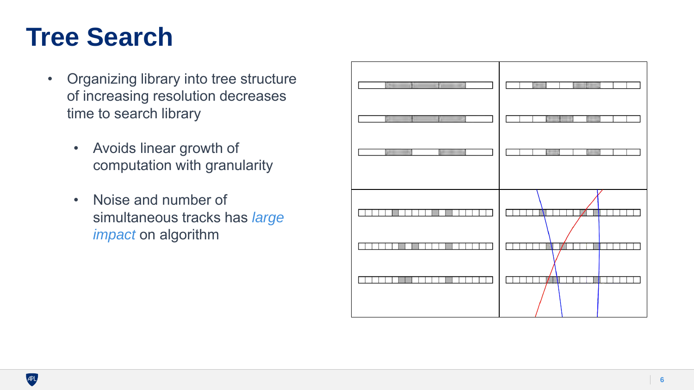### **Tree Search**

- Organizing library into tree structure of increasing resolution decreases time to search library
	- Avoids linear growth of computation with granularity
	- Noise and number of simultaneous tracks has *large impact* on algorithm

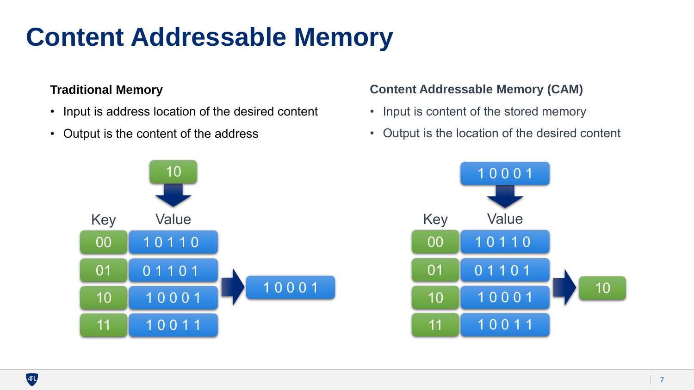# **Content Addressable Memory**

#### **Traditional Memory**

- Input is address location of the desired content
- Output is the content of the address



#### **Content Addressable Memory (CAM)**

- Input is content of the stored memory
- Output is the location of the desired content

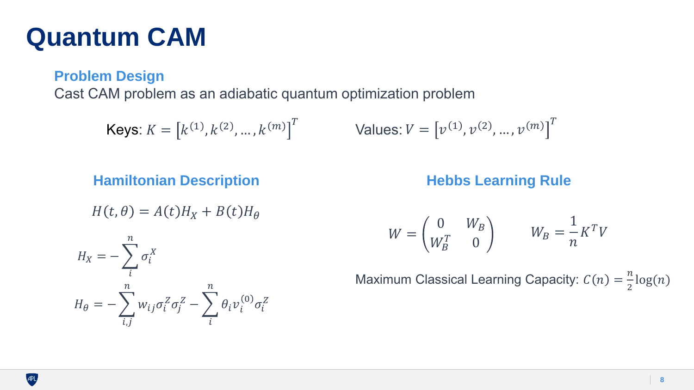### **Quantum CAM**

#### **Problem Design**

Cast CAM problem as an adiabatic quantum optimization problem

**Keys:** 
$$
K = [k^{(1)}, k^{(2)}, ..., k^{(m)}]^T
$$
 Values:  $V = [v^{(1)}, v^{(2)}, ..., v^{(m)}]^T$ 

#### **Hamiltonian Description <b>Hebbs** Learning Rule

 $H(t, \theta) = A(t)H_X + B(t)H_{\theta}$ 

$$
W = \begin{pmatrix} 0 & W_B \\ W_B^T & 0 \end{pmatrix} \qquad W_B = \frac{1}{n} K^T V
$$

Maximum Classical Learning Capacity:  $C(n) = \frac{n}{2}$  $\frac{\pi}{2} \log(n)$ 

$$
H_X = -\sum_{i}^{n} \sigma_i^X
$$
  

$$
H_{\theta} = -\sum_{i,j}^{n} w_{ij} \sigma_i^Z \sigma_j^Z - \sum_{i}^{n} \theta_i v_i^{(0)} \sigma_i^Z
$$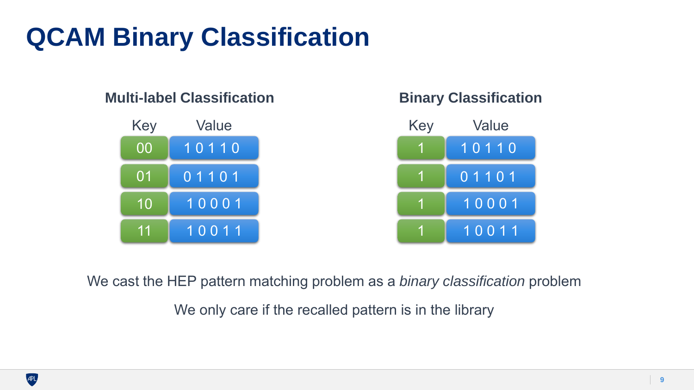# **QCAM Binary Classification**

### **Multi-label Classification Binary Classification**





We cast the HEP pattern matching problem as a *binary classification* problem

We only care if the recalled pattern is in the library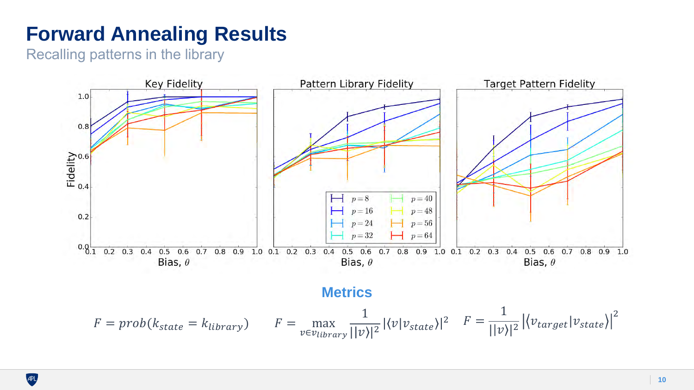Recalling patterns in the library



**Metrics**

$$
F = prob(k_{state} = k_{library}) \qquad F = \max_{v \in v_{library}} \frac{1}{||v||^2} |\langle v|v_{state}\rangle|^2 \quad F = \frac{1}{||v||^2} |\langle v_{target}|v_{state}\rangle|^2
$$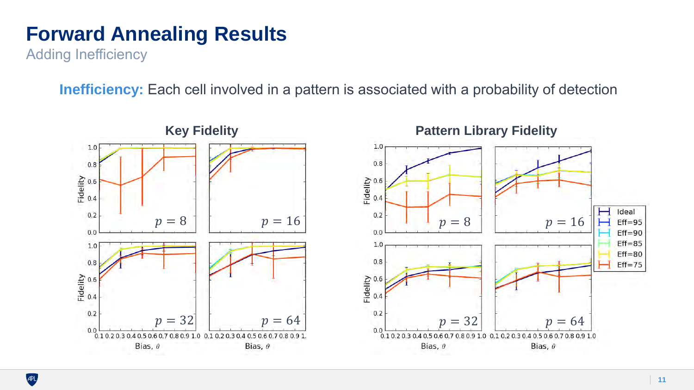Adding Inefficiency

**Inefficiency:** Each cell involved in a pattern is associated with a probability of detection

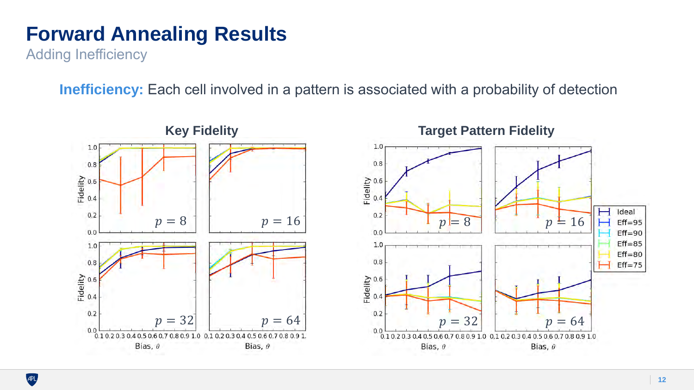Adding Inefficiency

**Inefficiency:** Each cell involved in a pattern is associated with a probability of detection

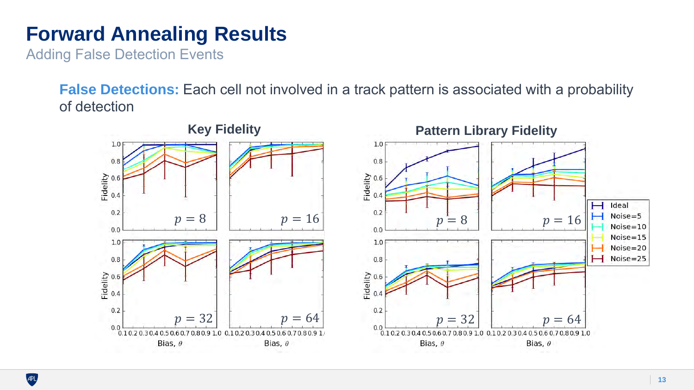Adding False Detection Events

**False Detections:** Each cell not involved in a track pattern is associated with a probability of detection

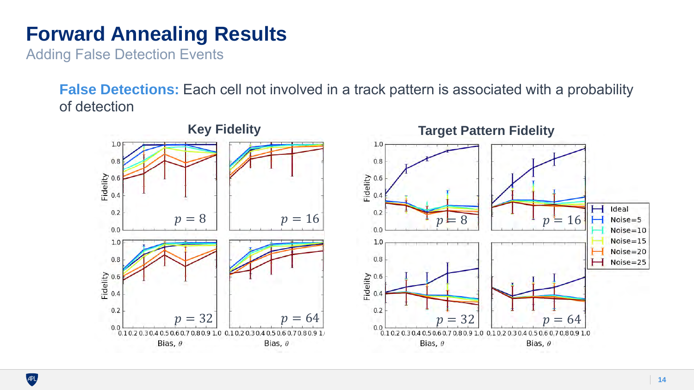Adding False Detection Events

**False Detections:** Each cell not involved in a track pattern is associated with a probability of detection

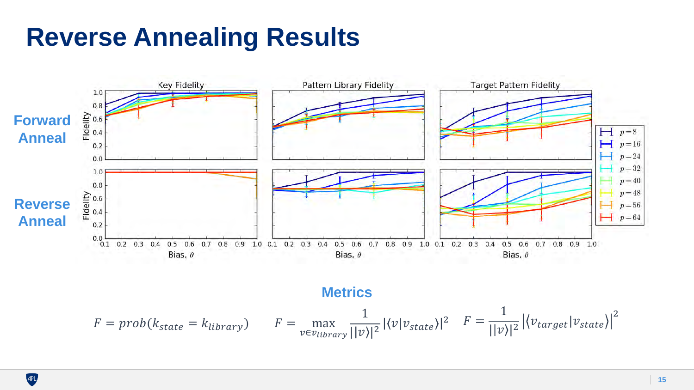## **Reverse Annealing Results**



**Metrics**

$$
F = prob(k_{state} = k_{library}) \qquad F = \max_{v \in v_{library}} \frac{1}{||v||^2} |\langle v|v_{state}\rangle|^2 \quad F = \frac{1}{||v||^2} |\langle v_{target}|v_{state}\rangle|^2
$$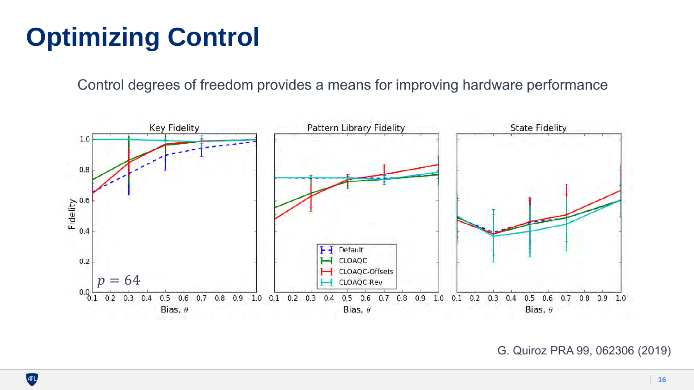## **Optimizing Control**

Control degrees of freedom provides a means for improving hardware performance



G. Quiroz PRA 99, 062306 (2019)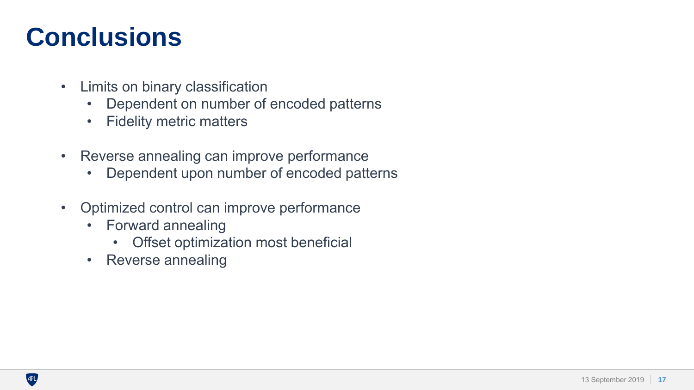## **Conclusions**

- Limits on binary classification
	- Dependent on number of encoded patterns
	- Fidelity metric matters
- Reverse annealing can improve performance
	- Dependent upon number of encoded patterns
- Optimized control can improve performance
	- Forward annealing
		- Offset optimization most beneficial
	- Reverse annealing